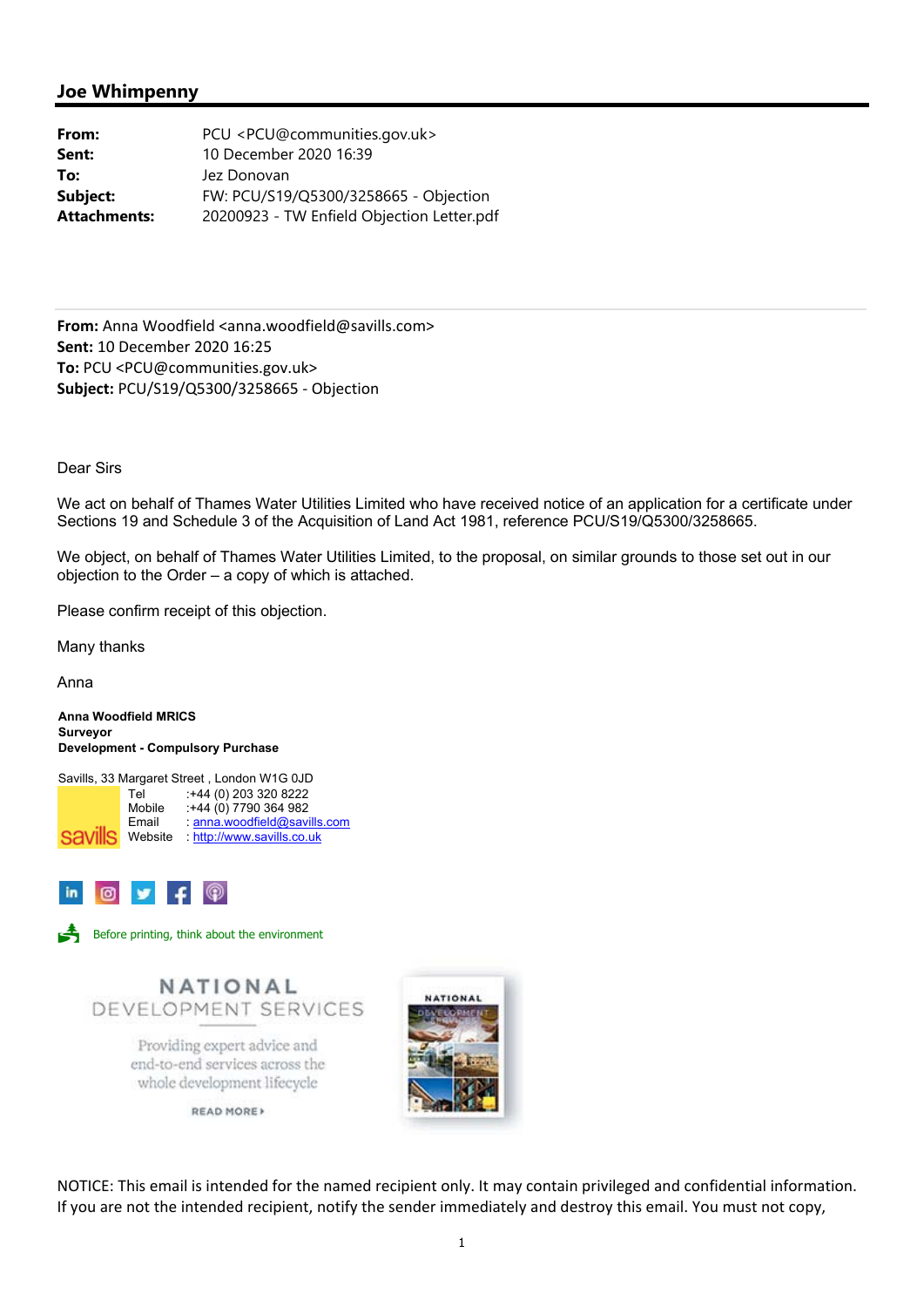## **Joe Whimpenny**

| From:               | PCU <pcu@communities.gov.uk></pcu@communities.gov.uk> |
|---------------------|-------------------------------------------------------|
| Sent:               | 10 December 2020 16:39                                |
| To:                 | Jez Donovan                                           |
| Subject:            | FW: PCU/S19/Q5300/3258665 - Objection                 |
| <b>Attachments:</b> | 20200923 - TW Enfield Objection Letter.pdf            |

**From:** Anna Woodfield <anna.woodfield@savills.com> **Sent:** 10 December 2020 16:25 **To:** PCU <PCU@communities.gov.uk> **Subject:** PCU/S19/Q5300/3258665 ‐ Objection

Dear Sirs

We act on behalf of Thames Water Utilities Limited who have received notice of an application for a certificate under Sections 19 and Schedule 3 of the Acquisition of Land Act 1981, reference PCU/S19/Q5300/3258665.

We object, on behalf of Thames Water Utilities Limited, to the proposal, on similar grounds to those set out in our objection to the Order – a copy of which is attached.

Please confirm receipt of this objection.

Many thanks

Anna

**Anna Woodfield MRICS Surveyor Development - Compulsory Purchase** 

Savills, 33 Margaret Street , London W1G 0JD Tel :+44 (0) 203 320 8222<br>Mobile :+44 (0) 7790 364 982 Mobile :+44 (0) 7790 364 982<br>Email : anna woodfield@savi : anna.woodfield@savills.com Savills Website : http://www.savills.co.uk





Before printing, think about the environment



end-to-end services across the whole development lifecycle

READ MORE



NOTICE: This email is intended for the named recipient only. It may contain privileged and confidential information. If you are not the intended recipient, notify the sender immediately and destroy this email. You must not copy,